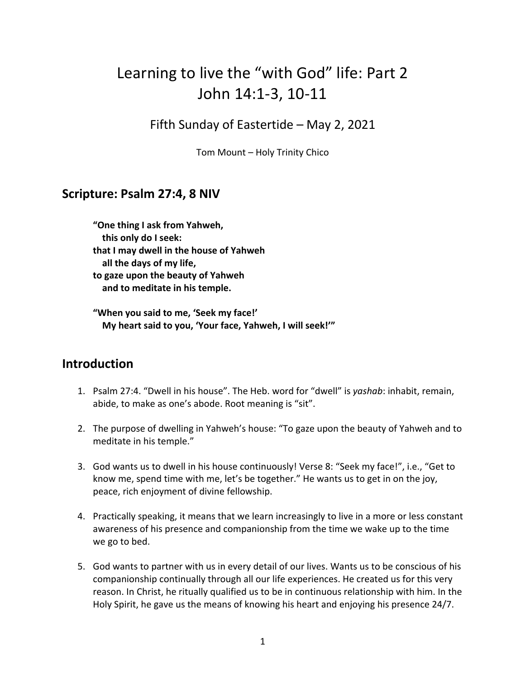# Learning to live the "with God" life: Part 2 John 14:1-3, 10-11

Fifth Sunday of Eastertide – May 2, 2021

Tom Mount – Holy Trinity Chico

## **Scripture: Psalm 27:4, 8 NIV**

**"One thing I ask from Yahweh, this only do I seek: that I may dwell in the house of Yahweh all the days of my life, to gaze upon the beauty of Yahweh and to meditate in his temple.**

**"When you said to me, 'Seek my face!' My heart said to you, 'Your face, Yahweh, I will seek!'"**

## **Introduction**

- 1. Psalm 27:4. "Dwell in his house". The Heb. word for "dwell" is *yashab*: inhabit, remain, abide, to make as one's abode. Root meaning is "sit".
- 2. The purpose of dwelling in Yahweh's house: "To gaze upon the beauty of Yahweh and to meditate in his temple."
- 3. God wants us to dwell in his house continuously! Verse 8: "Seek my face!", i.e., "Get to know me, spend time with me, let's be together." He wants us to get in on the joy, peace, rich enjoyment of divine fellowship.
- 4. Practically speaking, it means that we learn increasingly to live in a more or less constant awareness of his presence and companionship from the time we wake up to the time we go to bed.
- 5. God wants to partner with us in every detail of our lives. Wants us to be conscious of his companionship continually through all our life experiences. He created us for this very reason. In Christ, he ritually qualified us to be in continuous relationship with him. In the Holy Spirit, he gave us the means of knowing his heart and enjoying his presence 24/7.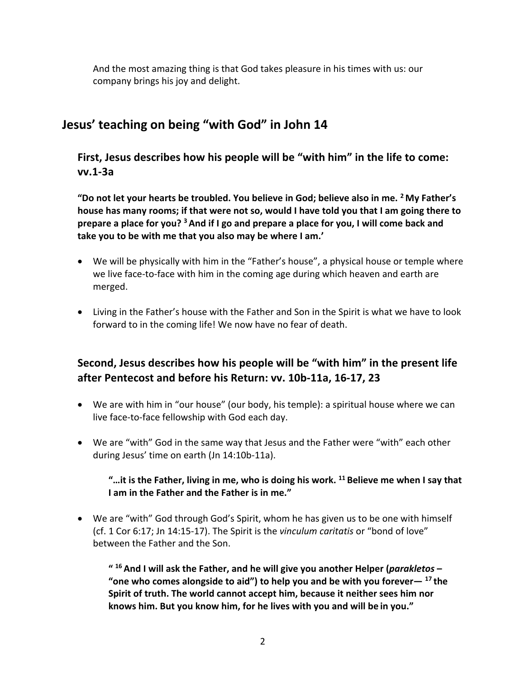And the most amazing thing is that God takes pleasure in his times with us: our company brings his joy and delight.

## **Jesus' teaching on being "with God" in John 14**

**First, Jesus describes how his people will be "with him" in the life to come: vv.1-3a**

**"Do not let your hearts be troubled. You believe in God; believe also in me. 2 My Father's house has many rooms; if that were not so, would I have told you that I am going there to prepare a place for you? 3 And if I go and prepare a place for you, I will come back and take you to be with me that you also may be where I am.'**

- We will be physically with him in the "Father's house", a physical house or temple where we live face-to-face with him in the coming age during which heaven and earth are merged.
- Living in the Father's house with the Father and Son in the Spirit is what we have to look forward to in the coming life! We now have no fear of death.

### **Second, Jesus describes how his people will be "with him" in the present life after Pentecost and before his Return: vv. 10b-11a, 16-17, 23**

- We are with him in "our house" (our body, his temple): a spiritual house where we can live face-to-face fellowship with God each day.
- We are "with" God in the same way that Jesus and the Father were "with" each other during Jesus' time on earth (Jn 14:10b-11a).

#### **"…it is the Father, living in me, who is doing his work. 11 Believe me when I say that I am in the Father and the Father is in me."**

• We are "with" God through God's Spirit, whom he has given us to be one with himself (cf. 1 Cor 6:17; Jn 14:15-17). The Spirit is the *vinculum caritatis* or "bond of love" between the Father and the Son.

**" <sup>16</sup> And I will ask the Father, and he will give you another Helper (***parakletos* **– "one who comes alongside to aid") to help you and be with you forever— <sup>17</sup> the Spirit of truth. The world cannot accept him, because it neither sees him nor knows him. But you know him, for he lives with you and will be in you."**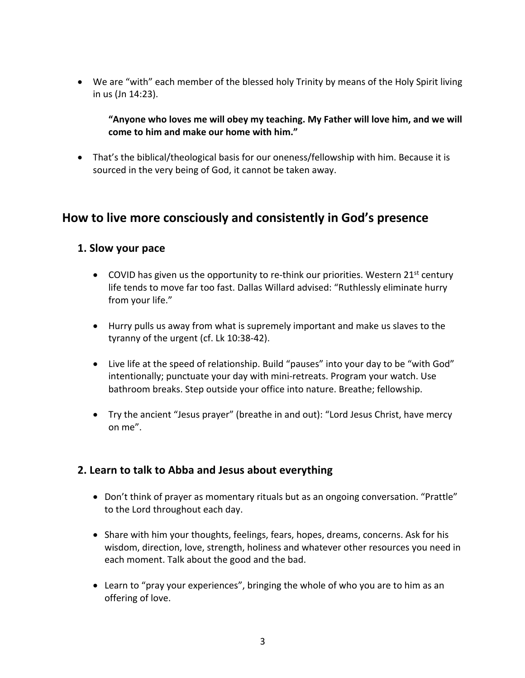• We are "with" each member of the blessed holy Trinity by means of the Holy Spirit living in us (Jn 14:23).

**"Anyone who loves me will obey my teaching. My Father will love him, and we will come to him and make our home with him."**

• That's the biblical/theological basis for our oneness/fellowship with him. Because it is sourced in the very being of God, it cannot be taken away.

## **How to live more consciously and consistently in God's presence**

#### **1. Slow your pace**

- COVID has given us the opportunity to re-think our priorities. Western  $21<sup>st</sup>$  century life tends to move far too fast. Dallas Willard advised: "Ruthlessly eliminate hurry from your life."
- Hurry pulls us away from what is supremely important and make us slaves to the tyranny of the urgent (cf. Lk 10:38-42).
- Live life at the speed of relationship. Build "pauses" into your day to be "with God" intentionally; punctuate your day with mini-retreats. Program your watch. Use bathroom breaks. Step outside your office into nature. Breathe; fellowship.
- Try the ancient "Jesus prayer" (breathe in and out): "Lord Jesus Christ, have mercy on me".

#### **2. Learn to talk to Abba and Jesus about everything**

- Don't think of prayer as momentary rituals but as an ongoing conversation. "Prattle" to the Lord throughout each day.
- Share with him your thoughts, feelings, fears, hopes, dreams, concerns. Ask for his wisdom, direction, love, strength, holiness and whatever other resources you need in each moment. Talk about the good and the bad.
- Learn to "pray your experiences", bringing the whole of who you are to him as an offering of love.